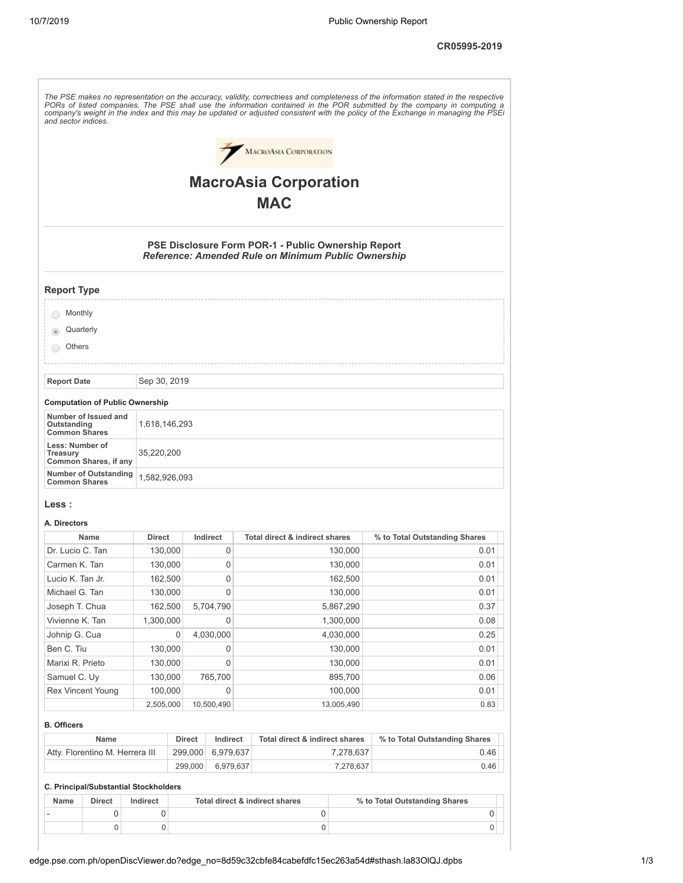**CR05995-2019**

| and sector indices.                                         |                          |         |               |                                                                                                            | The PSE makes no representation on the accuracy, validity, correctness and completeness of the information stated in the respective<br>PORs of listed companies. The PSE shall use the information contained in the POR submitted by the company in computing a<br>company's weight in the index and this may be updated or adjusted consistent with the policy of the Exchange in managing the PSEi |
|-------------------------------------------------------------|--------------------------|---------|---------------|------------------------------------------------------------------------------------------------------------|------------------------------------------------------------------------------------------------------------------------------------------------------------------------------------------------------------------------------------------------------------------------------------------------------------------------------------------------------------------------------------------------------|
|                                                             |                          |         |               | MACROASIA CORPORATION                                                                                      |                                                                                                                                                                                                                                                                                                                                                                                                      |
|                                                             |                          |         |               | <b>MacroAsia Corporation</b>                                                                               |                                                                                                                                                                                                                                                                                                                                                                                                      |
|                                                             |                          |         |               |                                                                                                            |                                                                                                                                                                                                                                                                                                                                                                                                      |
|                                                             |                          |         |               | <b>MAC</b>                                                                                                 |                                                                                                                                                                                                                                                                                                                                                                                                      |
|                                                             |                          |         |               | PSE Disclosure Form POR-1 - Public Ownership Report<br>Reference: Amended Rule on Minimum Public Ownership |                                                                                                                                                                                                                                                                                                                                                                                                      |
| <b>Report Type</b>                                          |                          |         |               |                                                                                                            |                                                                                                                                                                                                                                                                                                                                                                                                      |
| Monthly<br>$($ )                                            |                          |         |               |                                                                                                            |                                                                                                                                                                                                                                                                                                                                                                                                      |
| Quarterly                                                   |                          |         |               |                                                                                                            |                                                                                                                                                                                                                                                                                                                                                                                                      |
| Others                                                      |                          |         |               |                                                                                                            |                                                                                                                                                                                                                                                                                                                                                                                                      |
|                                                             |                          |         |               |                                                                                                            |                                                                                                                                                                                                                                                                                                                                                                                                      |
| <b>Report Date</b>                                          | Sep 30, 2019             |         |               |                                                                                                            |                                                                                                                                                                                                                                                                                                                                                                                                      |
| <b>Computation of Public Ownership</b>                      |                          |         |               |                                                                                                            |                                                                                                                                                                                                                                                                                                                                                                                                      |
| Number of Issued and<br>Outstanding<br><b>Common Shares</b> | 1,618,146,293            |         |               |                                                                                                            |                                                                                                                                                                                                                                                                                                                                                                                                      |
| Less: Number of<br>Treasury<br>Common Shares, if any        | 35,220,200               |         |               |                                                                                                            |                                                                                                                                                                                                                                                                                                                                                                                                      |
| <b>Number of Outstanding</b><br><b>Common Shares</b>        | 1,582,926,093            |         |               |                                                                                                            |                                                                                                                                                                                                                                                                                                                                                                                                      |
| <b>Less :</b>                                               |                          |         |               |                                                                                                            |                                                                                                                                                                                                                                                                                                                                                                                                      |
| A. Directors                                                |                          |         |               |                                                                                                            |                                                                                                                                                                                                                                                                                                                                                                                                      |
| Name<br>Dr. Lucio C. Tan                                    | <b>Direct</b><br>130,000 |         | Indirect<br>0 | <b>Total direct &amp; indirect shares</b><br>130,000                                                       | % to Total Outstanding Shares<br>0.01                                                                                                                                                                                                                                                                                                                                                                |
| Carmen K. Tan                                               | 130,000                  |         | 0             | 130,000                                                                                                    | 0.01                                                                                                                                                                                                                                                                                                                                                                                                 |
| Lucio K. Tan Jr.                                            | 162,500                  |         | 0             | 162,500                                                                                                    | 0.01                                                                                                                                                                                                                                                                                                                                                                                                 |
| Michael G. Tan                                              | 130,000                  |         | 0             | 130,000                                                                                                    | 0.01                                                                                                                                                                                                                                                                                                                                                                                                 |
| Joseph T. Chua                                              | 162,500                  |         | 5,704,790     | 5,867,290                                                                                                  | 0.37                                                                                                                                                                                                                                                                                                                                                                                                 |
| Vivienne K. Tan                                             | 1,300,000                |         | 0             | 1,300,000                                                                                                  | 0.08                                                                                                                                                                                                                                                                                                                                                                                                 |
| Johnip G. Cua                                               |                          | 0       | 4,030,000     | 4,030,000                                                                                                  | 0.25                                                                                                                                                                                                                                                                                                                                                                                                 |
| Ben C. Tiu                                                  | 130,000                  |         | 0             | 130,000                                                                                                    | 0.01                                                                                                                                                                                                                                                                                                                                                                                                 |
| Marixi R. Prieto                                            | 130,000                  |         | 0             | 130,000                                                                                                    | 0.01                                                                                                                                                                                                                                                                                                                                                                                                 |
| Samuel C. Uy                                                | 130,000                  |         | 765,700       | 895,700                                                                                                    | 0.06                                                                                                                                                                                                                                                                                                                                                                                                 |
| <b>Rex Vincent Young</b>                                    | 100,000                  |         | 0             | 100,000                                                                                                    | 0.01                                                                                                                                                                                                                                                                                                                                                                                                 |
|                                                             | 2,505,000                |         | 10,500,490    | 13,005,490                                                                                                 | 0.83                                                                                                                                                                                                                                                                                                                                                                                                 |
| <b>B. Officers</b>                                          |                          |         |               |                                                                                                            |                                                                                                                                                                                                                                                                                                                                                                                                      |
| Name                                                        |                          | Direct  | Indirect      | Total direct & indirect shares                                                                             | % to Total Outstanding Shares                                                                                                                                                                                                                                                                                                                                                                        |
| Atty. Florentino M. Herrera III                             |                          | 299,000 | 6,979,637     | 7,278,637                                                                                                  | 0.46                                                                                                                                                                                                                                                                                                                                                                                                 |
|                                                             |                          | 299,000 | 6,979,637     | 7,278,637                                                                                                  | 0.46                                                                                                                                                                                                                                                                                                                                                                                                 |

## **C. Principal/Substantial Stockholders**

| Name | <b>Direct</b> | Indirect | Total direct & indirect shares | % to Total Outstanding Shares |  |
|------|---------------|----------|--------------------------------|-------------------------------|--|
|      |               |          |                                |                               |  |
|      |               |          |                                |                               |  |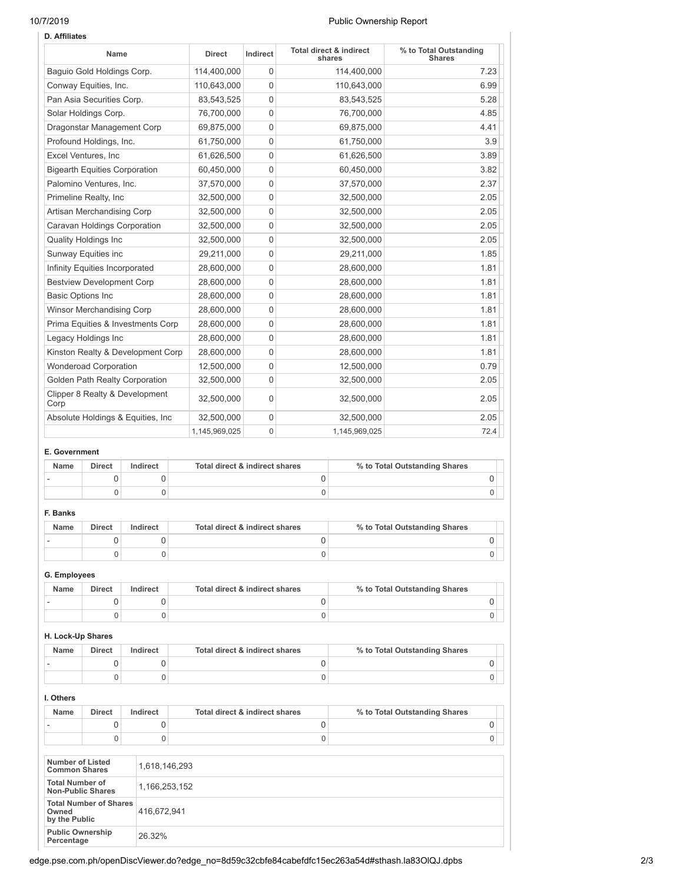# 10/7/2019 Public Ownership Report

| <b>D.</b> Affiliates                   |               |                |                                              |                                         |
|----------------------------------------|---------------|----------------|----------------------------------------------|-----------------------------------------|
| Name                                   | <b>Direct</b> | Indirect       | <b>Total direct &amp; indirect</b><br>shares | % to Total Outstanding<br><b>Shares</b> |
| Baquio Gold Holdings Corp.             | 114,400,000   | $\Omega$       | 114,400,000                                  | 7.23                                    |
| Conway Equities, Inc.                  | 110,643,000   | 0              | 110,643,000                                  | 6.99                                    |
| Pan Asia Securities Corp.              | 83,543,525    | $\Omega$       | 83,543,525                                   | 5.28                                    |
| Solar Holdings Corp.                   | 76,700,000    | $\mathbf 0$    | 76,700,000                                   | 4.85                                    |
| Dragonstar Management Corp             | 69,875,000    | 0              | 69,875,000                                   | 4.41                                    |
| Profound Holdings, Inc.                | 61,750,000    | 0              | 61,750,000                                   | 3.9                                     |
| Excel Ventures, Inc.                   | 61,626,500    | 0              | 61,626,500                                   | 3.89                                    |
| <b>Bigearth Equities Corporation</b>   | 60,450,000    | 0              | 60,450,000                                   | 3.82                                    |
| Palomino Ventures, Inc.                | 37,570,000    | 0              | 37,570,000                                   | 2.37                                    |
| Primeline Realty, Inc.                 | 32,500,000    | 0              | 32,500,000                                   | 2.05                                    |
| Artisan Merchandising Corp             | 32,500,000    | $\Omega$       | 32,500,000                                   | 2.05                                    |
| Caravan Holdings Corporation           | 32,500,000    | $\overline{0}$ | 32,500,000                                   | 2.05                                    |
| <b>Quality Holdings Inc</b>            | 32,500,000    | 0              | 32,500,000                                   | 2.05                                    |
| <b>Sunway Equities inc</b>             | 29,211,000    | 0              | 29,211,000                                   | 1.85                                    |
| Infinity Equities Incorporated         | 28,600,000    | $\Omega$       | 28,600,000                                   | 1.81                                    |
| <b>Bestview Development Corp</b>       | 28,600,000    | 0              | 28,600,000                                   | 1.81                                    |
| <b>Basic Options Inc</b>               | 28,600,000    | $\mathbf{0}$   | 28,600,000                                   | 1.81                                    |
| Winsor Merchandising Corp              | 28,600,000    | $\mathbf 0$    | 28,600,000                                   | 1.81                                    |
| Prima Equities & Investments Corp      | 28,600,000    | $\mathbf 0$    | 28,600,000                                   | 1.81                                    |
| Legacy Holdings Inc                    | 28,600,000    | 0              | 28,600,000                                   | 1.81                                    |
| Kinston Realty & Development Corp      | 28,600,000    | 0              | 28,600,000                                   | 1.81                                    |
| <b>Wonderoad Corporation</b>           | 12,500,000    | $\mathbf 0$    | 12,500,000                                   | 0.79                                    |
| Golden Path Realty Corporation         | 32,500,000    | 0              | 32,500,000                                   | 2.05                                    |
| Clipper 8 Realty & Development<br>Corp | 32,500,000    | $\mathbf{0}$   | 32,500,000                                   | 2.05                                    |
| Absolute Holdings & Equities, Inc.     | 32.500.000    | 0              | 32,500,000                                   | 2.05                                    |
|                                        | 1,145,969,025 | 0              | 1,145,969,025                                | 72.4                                    |

# **E. Government**

| Name | <b>Direct</b> | Indirect | Total direct & indirect shares | % to Total Outstanding Shares |  |
|------|---------------|----------|--------------------------------|-------------------------------|--|
|      |               |          |                                |                               |  |
|      |               |          |                                |                               |  |

# **F. Banks**

| Name | <b>Direct</b> | Indirect | Total direct & indirect shares | % to Total Outstanding Shares |  |
|------|---------------|----------|--------------------------------|-------------------------------|--|
|      |               |          |                                |                               |  |
|      |               |          |                                |                               |  |

# **G. Employees**

| Name | <b>Direct</b> | Indirect | Total direct & indirect shares | % to Total Outstanding Shares |
|------|---------------|----------|--------------------------------|-------------------------------|
|      |               |          |                                |                               |
|      |               |          |                                |                               |

## **H. Lock-Up Shares**

| Name | <b>Direct</b> | Indirect | Total direct & indirect shares | % to Total Outstanding Shares |  |
|------|---------------|----------|--------------------------------|-------------------------------|--|
|      |               |          |                                |                               |  |
|      |               |          |                                |                               |  |

## **I. Others**

| Name | Direct | Indirect | Total direct & indirect shares | % to Total Outstanding Shares |  |
|------|--------|----------|--------------------------------|-------------------------------|--|
|      |        |          |                                |                               |  |
|      |        |          |                                |                               |  |

| Number of Listed<br><b>Common Shares</b>                | 1.618.146.293 |
|---------------------------------------------------------|---------------|
| <b>Total Number of</b><br><b>Non-Public Shares</b>      | 1,166,253,152 |
| <b>Total Number of Shares</b><br>Owned<br>by the Public | 416.672.941   |
| <b>Public Ownership</b><br>Percentage                   | 26.32%        |